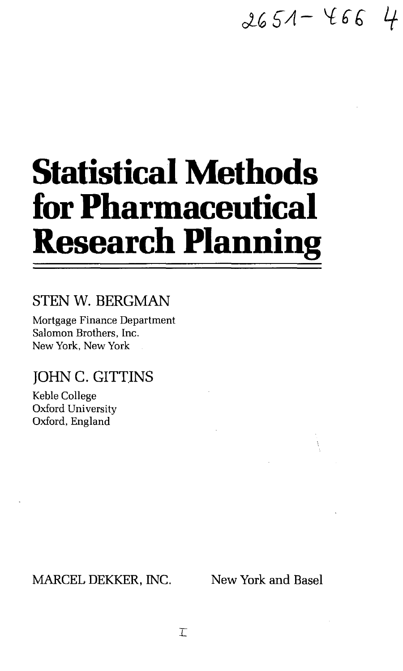# $2651 - 4664$

# **Statistical Methods for Pharmaceutical Research Planning**

# STEN W. BERGMAN

Mortgage Finance Department Salomon Brothers, Inc. New York, New York

# JOHN C. GITTINS

Keble College Oxford University Oxford, England

MARCEL DEKKER, INC. New York and Basel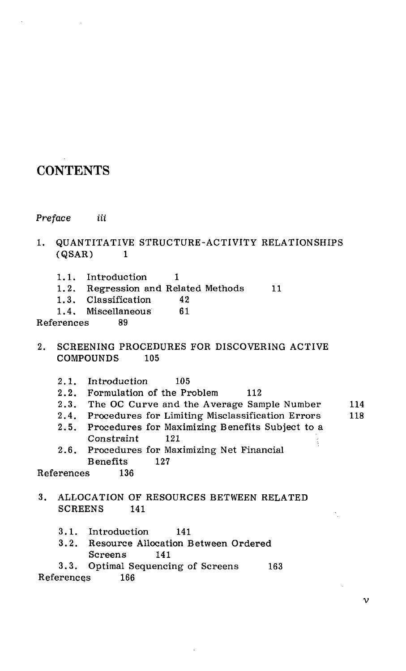## **CONTENTS**

**Preface** *iii* 

### 1. QUANTITATIVE STRUCTURE-ACTIVITY RELATIONSHIPS  $(QSAR)$  1

- 1.1. Introduction 1
- 1.2. Regression and Related Methods 11
- 1.3. Classification 42<br>1.4. Miscellaneous 61
- 1.4. Miscellaneous

References 89

- 2. SCREENING PROCEDURES FOR DISCOVERING ACTIVE COMPOUNDS 105
	- 2.1. Introduction 105
	- 2.2. Formulation of the Problem 112
	- 2.3. The OC Curve and the Average Sample Number 114
	- 2.4. Procedures for Limiting Misclassification Errors 118
	- 2.5. Procedures for Maximizing Benefits Subject to a Constraint 121
	- 2.6. Procedures for Maximizing Net Financial Benefits 127

References 136

- 3. ALLOCATION OF RESOURCES BETWEEN RELATED SCREENS 141
	- 3.1. Introduction 141
	- 3.2. Resource Allocation Between Ordered Screens 141
- 3.3. Optimal Sequencing of Screens 163 References 166

 $\mathbf v$